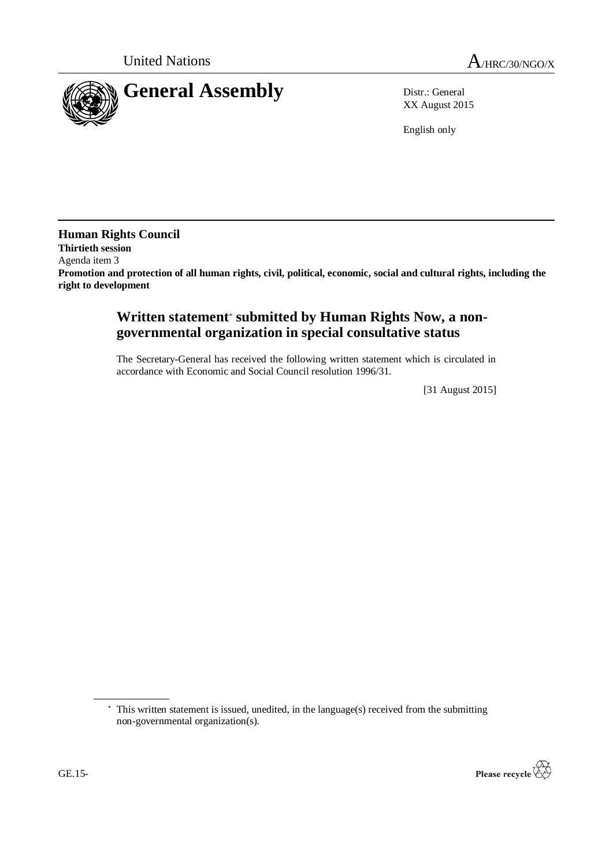

XX August 2015

English only

**Human Rights Council Thirtieth session** Agenda item 3 **Promotion and protection of all human rights, civil, political, economic, social and cultural rights, including the right to development**

## **Written statement**\* **submitted by Human Rights Now, a nongovernmental organization in special consultative status**

The Secretary-General has received the following written statement which is circulated in accordance with Economic and Social Council resolution 1996/31.

[31 August 2015]

<sup>\*</sup> This written statement is issued, unedited, in the language(s) received from the submitting non-governmental organization(s).

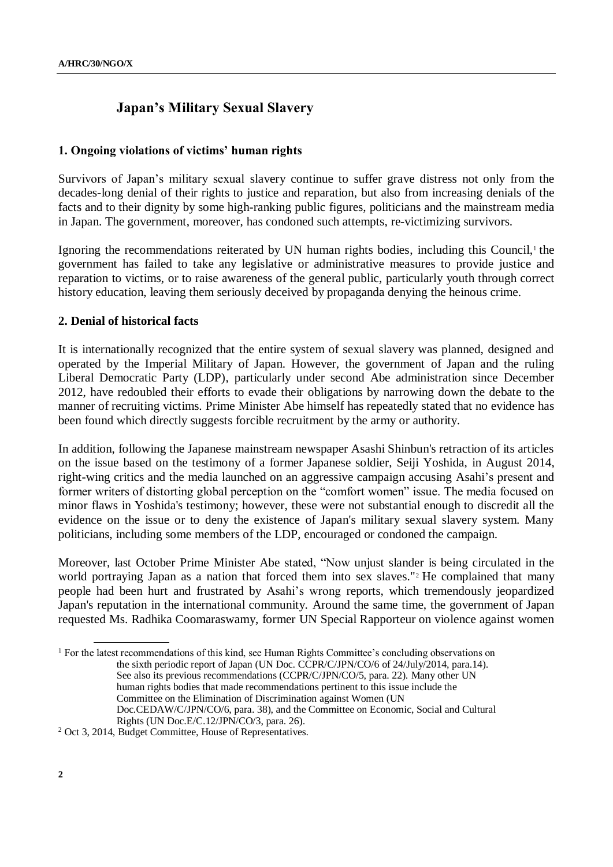# **Japan's Military Sexual Slavery**

## **1. Ongoing violations of victims' human rights**

Survivors of Japan's military sexual slavery continue to suffer grave distress not only from the decades-long denial of their rights to justice and reparation, but also from increasing denials of the facts and to their dignity by some high-ranking public figures, politicians and the mainstream media in Japan. The government, moreover, has condoned such attempts, re-victimizing survivors.

Ignoring the recommendations reiterated by UN human rights bodies, including this Council,<sup>1</sup> the government has failed to take any legislative or administrative measures to provide justice and reparation to victims, or to raise awareness of the general public, particularly youth through correct history education, leaving them seriously deceived by propaganda denying the heinous crime.

### **2. Denial of historical facts**

It is internationally recognized that the entire system of sexual slavery was planned, designed and operated by the Imperial Military of Japan. However, the government of Japan and the ruling Liberal Democratic Party (LDP), particularly under second Abe administration since December 2012, have redoubled their efforts to evade their obligations by narrowing down the debate to the manner of recruiting victims. Prime Minister Abe himself has repeatedly stated that no evidence has been found which directly suggests forcible recruitment by the army or authority.

In addition, following the Japanese mainstream newspaper Asashi Shinbun's retraction of its articles on the issue based on the testimony of a former Japanese soldier, Seiji Yoshida, in August 2014, right-wing critics and the media launched on an aggressive campaign accusing Asahi's present and former writers of distorting global perception on the "comfort women" issue. The media focused on minor flaws in Yoshida's testimony; however, these were not substantial enough to discredit all the evidence on the issue or to deny the existence of Japan's military sexual slavery system. Many politicians, including some members of the LDP, encouraged or condoned the campaign.

Moreover, last October Prime Minister Abe stated, "Now unjust slander is being circulated in the world portraying Japan as a nation that forced them into sex slaves."<sup>2</sup> He complained that many people had been hurt and frustrated by Asahi's wrong reports, which tremendously jeopardized Japan's reputation in the international community. Around the same time, the government of Japan requested Ms. Radhika Coomaraswamy, former UN Special Rapporteur on violence against women

<sup>&</sup>lt;sup>1</sup> For the latest recommendations of this kind, see Human Rights Committee's concluding observations on the sixth periodic report of Japan (UN Doc. CCPR/C/JPN/CO/6 of 24/July/2014, para.14). See also its previous recommendations (CCPR/C/JPN/CO/5, para. 22). Many other UN human rights bodies that made recommendations pertinent to this issue include the Committee on the Elimination of Discrimination against Women (UN Doc.CEDAW/C/JPN/CO/6, para. 38), and the Committee on Economic, Social and Cultural Rights (UN Doc.E/C.12/JPN/CO/3, para. 26).

<sup>2</sup> Oct 3, 2014, Budget Committee, House of Representatives.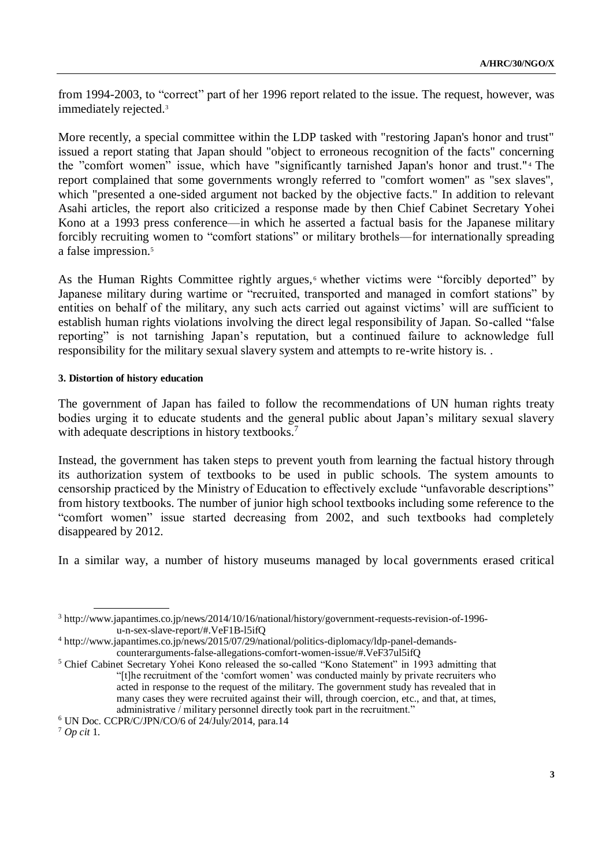from 1994-2003, to "correct" part of her 1996 report related to the issue. The request, however, was immediately rejected.<sup>3</sup>

More recently, a special committee within the LDP tasked with "restoring Japan's honor and trust" issued a report stating that Japan should "object to erroneous recognition of the facts" concerning the "comfort women" issue, which have "significantly tarnished Japan's honor and trust." <sup>4</sup> The report complained that some governments wrongly referred to "comfort women" as "sex slaves", which "presented a one-sided argument not backed by the objective facts." In addition to relevant Asahi articles, the report also criticized a response made by then Chief Cabinet Secretary Yohei Kono at a 1993 press conference—in which he asserted a factual basis for the Japanese military forcibly recruiting women to "comfort stations" or military brothels—for internationally spreading a false impression. 5

As the Human Rights Committee rightly argues,<sup>6</sup> whether victims were "forcibly deported" by Japanese military during wartime or "recruited, transported and managed in comfort stations" by entities on behalf of the military, any such acts carried out against victims' will are sufficient to establish human rights violations involving the direct legal responsibility of Japan. So-called "false reporting" is not tarnishing Japan's reputation, but a continued failure to acknowledge full responsibility for the military sexual slavery system and attempts to re-write history is. .

### **3. Distortion of history education**

The government of Japan has failed to follow the recommendations of UN human rights treaty bodies urging it to educate students and the general public about Japan's military sexual slavery with adequate descriptions in history textbooks.<sup>7</sup>

Instead, the government has taken steps to prevent youth from learning the factual history through its authorization system of textbooks to be used in public schools. The system amounts to censorship practiced by the Ministry of Education to effectively exclude "unfavorable descriptions" from history textbooks. The number of junior high school textbooks including some reference to the "comfort women" issue started decreasing from 2002, and such textbooks had completely disappeared by 2012.

In a similar way, a number of history museums managed by local governments erased critical

<sup>3</sup> http://www.japantimes.co.jp/news/2014/10/16/national/history/government-requests-revision-of-1996 u-n-sex-slave-report/#.VeF1B-l5ifQ

<sup>4</sup> http://www.japantimes.co.jp/news/2015/07/29/national/politics-diplomacy/ldp-panel-demandscounterarguments-false-allegations-comfort-women-issue/#.VeF37ul5ifQ

<sup>5</sup> Chief Cabinet Secretary Yohei Kono released the so-called "Kono Statement" in 1993 admitting that "[t]he recruitment of the 'comfort women' was conducted mainly by private recruiters who acted in response to the request of the military. The government study has revealed that in many cases they were recruited against their will, through coercion, etc., and that, at times, administrative / military personnel directly took part in the recruitment."

 $6$  UN Doc. CCPR/C/JPN/CO/6 of 24/July/2014, para.14

<sup>7</sup> *Op cit* 1.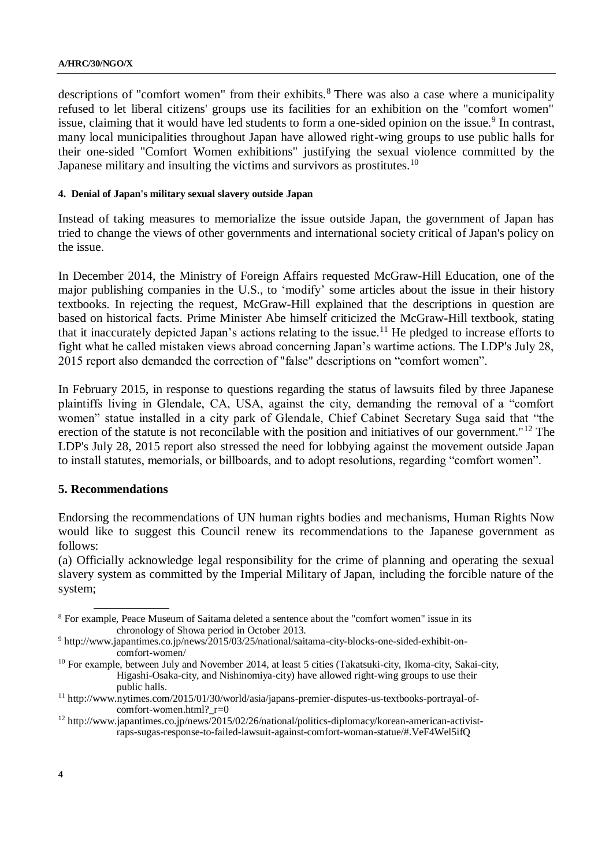#### **A/HRC/30/NGO/X**

descriptions of "comfort women" from their exhibits.<sup>8</sup> There was also a case where a municipality refused to let liberal citizens' groups use its facilities for an exhibition on the "comfort women" issue, claiming that it would have led students to form a one-sided opinion on the issue.<sup>9</sup> In contrast, many local municipalities throughout Japan have allowed right-wing groups to use public halls for their one-sided "Comfort Women exhibitions" justifying the sexual violence committed by the Japanese military and insulting the victims and survivors as prostitutes.<sup>10</sup>

#### **4. Denial of Japan's military sexual slavery outside Japan**

Instead of taking measures to memorialize the issue outside Japan, the government of Japan has tried to change the views of other governments and international society critical of Japan's policy on the issue.

In December 2014, the Ministry of Foreign Affairs requested McGraw-Hill Education, one of the major publishing companies in the U.S., to 'modify' some articles about the issue in their history textbooks. In rejecting the request, McGraw-Hill explained that the descriptions in question are based on historical facts. Prime Minister Abe himself criticized the McGraw-Hill textbook, stating that it inaccurately depicted Japan's actions relating to the issue.<sup>11</sup> He pledged to increase efforts to fight what he called mistaken views abroad concerning Japan's wartime actions. The LDP's July 28, 2015 report also demanded the correction of "false" descriptions on "comfort women".

In February 2015, in response to questions regarding the status of lawsuits filed by three Japanese plaintiffs living in Glendale, CA, USA, against the city, demanding the removal of a "comfort women" statue installed in a city park of Glendale, Chief Cabinet Secretary Suga said that "the erection of the statute is not reconcilable with the position and initiatives of our government."<sup>12</sup> The LDP's July 28, 2015 report also stressed the need for lobbying against the movement outside Japan to install statutes, memorials, or billboards, and to adopt resolutions, regarding "comfort women".

### **5. Recommendations**

Endorsing the recommendations of UN human rights bodies and mechanisms, Human Rights Now would like to suggest this Council renew its recommendations to the Japanese government as follows:

(a) Officially acknowledge legal responsibility for the crime of planning and operating the sexual slavery system as committed by the Imperial Military of Japan, including the forcible nature of the system;

<sup>8</sup> For example, Peace Museum of Saitama deleted a sentence about the "comfort women" issue in its chronology of Showa period in October 2013.

<sup>9</sup> http://www.japantimes.co.jp/news/2015/03/25/national/saitama-city-blocks-one-sided-exhibit-oncomfort-women/

<sup>&</sup>lt;sup>10</sup> For example, between July and November 2014, at least 5 cities (Takatsuki-city, Ikoma-city, Sakai-city, Higashi-Osaka-city, and Nishinomiya-city) have allowed right-wing groups to use their public halls.

<sup>11</sup> http://www.nytimes.com/2015/01/30/world/asia/japans-premier-disputes-us-textbooks-portrayal-ofcomfort-women.html? r=0

<sup>&</sup>lt;sup>12</sup> http://www.japantimes.co.jp/news/2015/02/26/national/politics-diplomacy/korean-american-activistraps-sugas-response-to-failed-lawsuit-against-comfort-woman-statue/#.VeF4Wel5ifQ